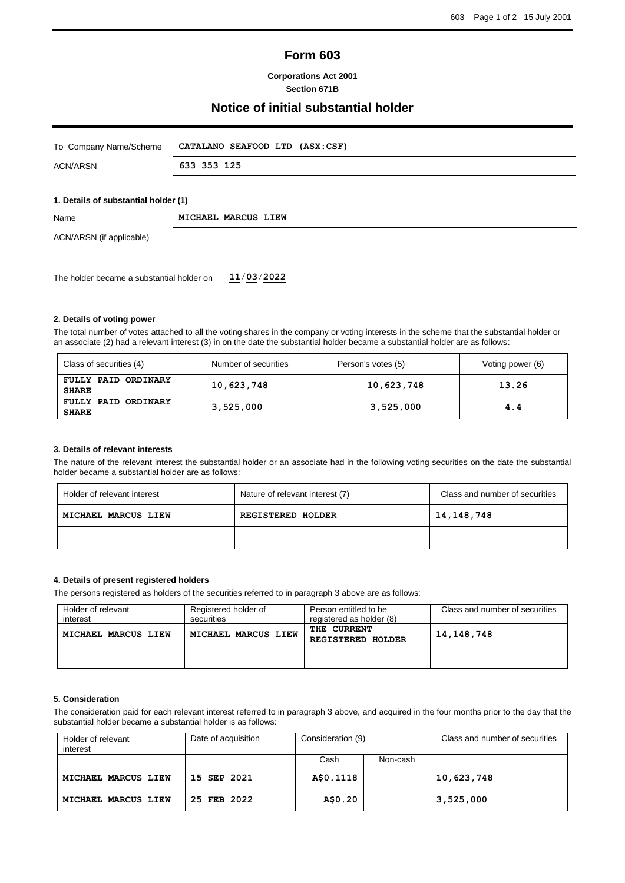# **Form 603**

**Corporations Act 2001 Section 671B**

## **Notice of initial substantial holder**

| To Company Name/Scheme                    | CATALANO SEAFOOD LTD (ASX:CSF) |  |
|-------------------------------------------|--------------------------------|--|
| <b>ACN/ARSN</b>                           | 633 353 125                    |  |
| 1. Details of substantial holder (1)      |                                |  |
| Name                                      | MICHAEL MARCUS LIEW            |  |
| ACN/ARSN (if applicable)                  |                                |  |
|                                           |                                |  |
| The holder became a substantial holder on | 11/03/2022                     |  |

#### **2. Details of voting power**

The total number of votes attached to all the voting shares in the company or voting interests in the scheme that the substantial holder or an associate (2) had a relevant interest (3) in on the date the substantial holder became a substantial holder are as follows:

| Class of securities (4)             | Number of securities | Person's votes (5) | Voting power (6) |
|-------------------------------------|----------------------|--------------------|------------------|
| FULLY PAID ORDINARY<br><b>SHARE</b> | 10,623,748           | 10,623,748         | 13.26            |
| FULLY PAID ORDINARY<br><b>SHARE</b> | 3,525,000            | 3,525,000          | 4.4              |

#### **3. Details of relevant interests**

The nature of the relevant interest the substantial holder or an associate had in the following voting securities on the date the substantial holder became a substantial holder are as follows:

| Holder of relevant interest | Nature of relevant interest (7) | Class and number of securities |
|-----------------------------|---------------------------------|--------------------------------|
| MICHAEL MARCUS LIEW         | REGISTERED HOLDER               | 14,148,748                     |
|                             |                                 |                                |

### **4. Details of present registered holders**

The persons registered as holders of the securities referred to in paragraph 3 above are as follows:

| Holder of relevant<br>interest | Registered holder of<br>securities | Person entitled to be<br>registered as holder (8) | Class and number of securities |
|--------------------------------|------------------------------------|---------------------------------------------------|--------------------------------|
| MICHAEL MARCUS LIEW            | MICHAEL MARCUS LIEW                | THE CURRENT<br><b>REGISTERED HOLDER</b>           | 14, 148, 748                   |
|                                |                                    |                                                   |                                |

#### **5. Consideration**

The consideration paid for each relevant interest referred to in paragraph 3 above, and acquired in the four months prior to the day that the substantial holder became a substantial holder is as follows:

| Holder of relevant<br>interest | Date of acquisition | Consideration (9) |          | Class and number of securities |
|--------------------------------|---------------------|-------------------|----------|--------------------------------|
|                                |                     | Cash              | Non-cash |                                |
| MICHAEL MARCUS LIEW            | 15 SEP 2021         | A\$0.1118         |          | 10,623,748                     |
| MICHAEL MARCUS LIEW            | 25 FEB 2022         | A\$0.20           |          | 3,525,000                      |